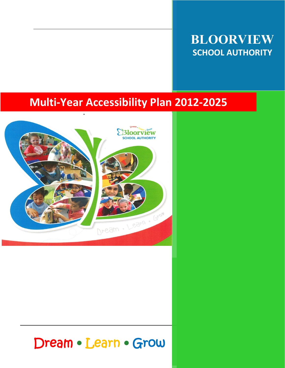# **BLOORVIEW SCHOOL AUTHORITY**

# **Multi-Year Accessibility Plan 2012-2025**



# Dream • Learn • Grow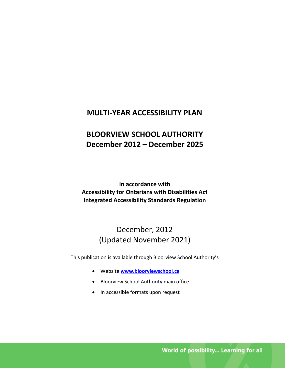# **MULTI-YEAR ACCESSIBILITY PLAN**

# **BLOORVIEW SCHOOL AUTHORITY December 2012 – December 2025**

**In accordance with Accessibility for Ontarians with Disabilities Act Integrated Accessibility Standards Regulation**

# December, 2012 (Updated November 2021)

This publication is available through Bloorview School Authority's

- Website **[www.bloorviewschool.ca](http://www.bloorviewschool.ca/)**
- Bloorview School Authority main office
- In accessible formats upon request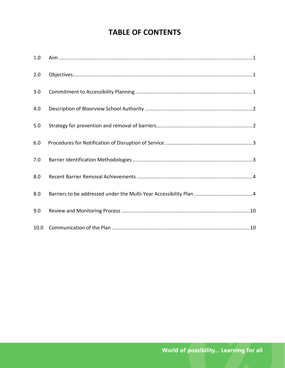# **TABLE OF CONTENTS**

| 1.0  |                                                                                                                                                                                                                                                                                                                                                                                                                                                                 |
|------|-----------------------------------------------------------------------------------------------------------------------------------------------------------------------------------------------------------------------------------------------------------------------------------------------------------------------------------------------------------------------------------------------------------------------------------------------------------------|
| 2.0  | $\textbf{Objects}:\textbf{1}\text{.}\\\textbf{2}\text{.}\\\textbf{3}\text{.}\\\textbf{4}\text{.}\\\textbf{5}\text{.}\\\textbf{6}\text{.}\\\textbf{7}\text{.}\\\textbf{8}\text{.}\\\textbf{9}\text{.}\\\textbf{1}\text{.}\\\textbf{1}\text{.}\\\textbf{1}\text{.}\\\textbf{2}\text{.}\\\textbf{3}\text{.}\\\textbf{4}\text{.}\\\textbf{5}\text{.}\\\textbf{6}\text{.}\\\textbf{7}\text{.}\\\textbf{8}\text{.}\\\textbf{9}\text{.}\\\textbf{1}\text{.}\\\textbf{$ |
| 3.0  |                                                                                                                                                                                                                                                                                                                                                                                                                                                                 |
| 4.0  |                                                                                                                                                                                                                                                                                                                                                                                                                                                                 |
| 5.0  |                                                                                                                                                                                                                                                                                                                                                                                                                                                                 |
| 6.0  |                                                                                                                                                                                                                                                                                                                                                                                                                                                                 |
| 7.0  |                                                                                                                                                                                                                                                                                                                                                                                                                                                                 |
| 8.0  |                                                                                                                                                                                                                                                                                                                                                                                                                                                                 |
| 8.0  |                                                                                                                                                                                                                                                                                                                                                                                                                                                                 |
| 9.0  |                                                                                                                                                                                                                                                                                                                                                                                                                                                                 |
| 10.0 |                                                                                                                                                                                                                                                                                                                                                                                                                                                                 |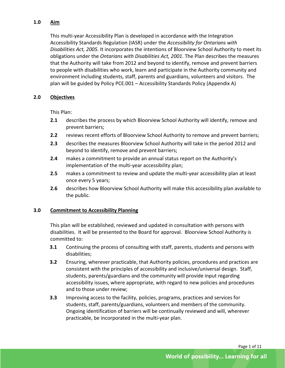### <span id="page-3-0"></span>**1.0 Aim**

This multi-year Accessibility Plan is developed in accordance with the Integration Accessibility Standards Regulation (IASR) under the *Accessibility for Ontarians with Disabilities Act, 2005.* It incorporates the intentions of Bloorview School Authority to meet its obligations under the *Ontarians with Disabilities Act, 2001*. The Plan describes the measures that the Authority will take from 2012 and beyond to identify, remove and prevent barriers to people with disabilities who work, learn and participate in the Authority community and environment including students, staff, parents and guardians, volunteers and visitors. The plan will be guided by Policy PCE.001 – Accessibility Standards Policy (Appendix A)

#### <span id="page-3-1"></span>**2.0 Objectives**

This Plan:

- **2.1** describes the process by which Bloorview School Authority will identify, remove and prevent barriers;
- **2.2** reviews recent efforts of Bloorview School Authority to remove and prevent barriers;
- **2.3** describes the measures Bloorview School Authority will take in the period 2012 and beyond to identify, remove and prevent barriers;
- **2.4** makes a commitment to provide an annual status report on the Authority's implementation of the multi-year accessibility plan;
- **2.5** makes a commitment to review and update the multi-year accessibility plan at least once every 5 years;
- **2.6** describes how Bloorview School Authority will make this accessibility plan available to the public.

### <span id="page-3-2"></span>**3.0 Commitment to Accessibility Planning**

This plan will be established, reviewed and updated in consultation with persons with disabilities. It will be presented to the Board for approval. Bloorview School Authority is committed to:

- **3.1** Continuing the process of consulting with staff, parents, students and persons with disabilities;
- **3.2** Ensuring, wherever practicable, that Authority policies, procedures and practices are consistent with the principles of accessibility and inclusive/universal design. Staff, students, parents/guardians and the community will provide input regarding accessibility issues, where appropriate, with regard to new policies and procedures and to those under review;
- **3.3** Improving access to the facility, policies, programs, practices and services for students, staff, parents/guardians, volunteers and members of the community. Ongoing identification of barriers will be continually reviewed and will, wherever practicable, be incorporated in the multi-year plan.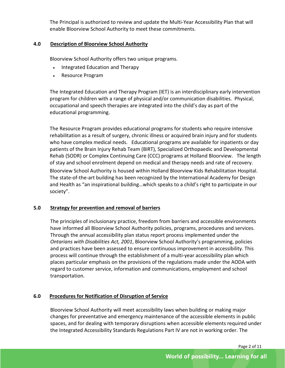The Principal is authorized to review and update the Multi-Year Accessibility Plan that will enable Bloorview School Authority to meet these commitments.

#### <span id="page-4-0"></span>**4.0 Description of Bloorview School Authority**

Bloorview School Authority offers two unique programs.

- Integrated Education and Therapy
- Resource Program

The Integrated Education and Therapy Program (IET) is an interdisciplinary early intervention program for children with a range of physical and/or communication disabilities. Physical, occupational and speech therapies are integrated into the child's day as part of the educational programming.

The Resource Program provides educational programs for students who require intensive rehabilitation as a result of surgery, chronic illness or acquired brain injury and for students who have complex medical needs. Educational programs are available for inpatients or day patients of the Brain Injury Rehab Team (BIRT), Specialized Orthopaedic and Developmental Rehab (SODR) or Complex Continuing Care (CCC) programs at Holland Bloorview. The length of stay and school enrolment depend on medical and therapy needs and rate of recovery.

Bloorview School Authority is housed within Holland Bloorview Kids Rehabilitation Hospital. The state-of-the-art building has been recognized by the [International Academy for Design](http://www.designandhealth.com/)  [and Health](http://www.designandhealth.com/) as "an inspirational building…which speaks to a child's right to participate in our society".

#### <span id="page-4-1"></span>**5.0 Strategy for prevention and removal of barriers**

The principles of inclusionary practice, freedom from barriers and accessible environments have informed all Bloorview School Authority policies, programs, procedures and services. Through the annual accessibility plan status report process implemented under the *Ontarians with Disabilities Act, 2001*, Bloorview School Authority's programming, policies and practices have been assessed to ensure continuous improvement in accessibility. This process will continue through the establishment of a multi-year accessibility plan which places particular emphasis on the provisions of the regulations made under the AODA with regard to customer service, information and communications, employment and school transportation.

#### **6.0 Procedures for Notification of Disruption of Service**

Bloorview School Authority will meet accessibility laws when building or making major changes for preventative and emergency maintenance of the accessible elements in public spaces, and for dealing with temporary disruptions when accessible elements required under the Integrated Accessibility Standards Regulations Part IV are not in working order. The

Page 2 of 11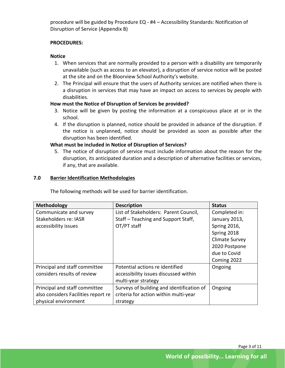procedure will be guided by Procedure EQ - #4 – Accessibility Standards: Notification of Disruption of Service (Appendix B)

#### <span id="page-5-0"></span>**PROCEDURES:**

#### **Notice**

- 1. When services that are normally provided to a person with a disability are temporarily unavailable (such as access to an elevator), a disruption of service notice will be posted at the site and on the Bloorview School Authority's website.
- 2. The Principal will ensure that the users of Authority services are notified when there is a disruption in services that may have an impact on access to services by people with disabilities.

#### **How must the Notice of Disruption of Services be provided?**

- 3. Notice will be given by posting the information at a conspicuous place at or in the school.
- 4. If the disruption is planned, notice should be provided in advance of the disruption. If the notice is unplanned, notice should be provided as soon as possible after the disruption has been identified.

#### **What must be included in Notice of Disruption of Services?**

5. The notice of disruption of service must include information about the reason for the disruption, its anticipated duration and a description of alternative facilities or services, if any, that are available.

#### <span id="page-5-1"></span>**7.0 Barrier Identification Methodologies**

| The following methods will be used for barrier identification. |                                           |                       |  |
|----------------------------------------------------------------|-------------------------------------------|-----------------------|--|
| <b>Methodology</b>                                             | <b>Description</b>                        | <b>Status</b>         |  |
| Communicate and survey                                         | List of Stakeholders: Parent Council,     | Completed in:         |  |
| Stakeholders re: IASR                                          | Staff - Teaching and Support Staff,       | January 2013,         |  |
| accessibility issues                                           | OT/PT staff                               | <b>Spring 2016,</b>   |  |
|                                                                |                                           | Spring 2018           |  |
|                                                                |                                           | <b>Climate Survey</b> |  |
|                                                                |                                           | 2020 Postpone         |  |
|                                                                |                                           | due to Covid          |  |
|                                                                |                                           | Coming 2022           |  |
| Principal and staff committee                                  | Potential actions re identified           | Ongoing               |  |
| considers results of review                                    | accessibility issues discussed within     |                       |  |
|                                                                | multi-year strategy                       |                       |  |
| Principal and staff committee                                  | Surveys of building and identification of | Ongoing               |  |
| also considers Facilities report re                            | criteria for action within multi-year     |                       |  |
| physical environment                                           | strategy                                  |                       |  |
|                                                                |                                           |                       |  |

The following methods will be used for barrier identification.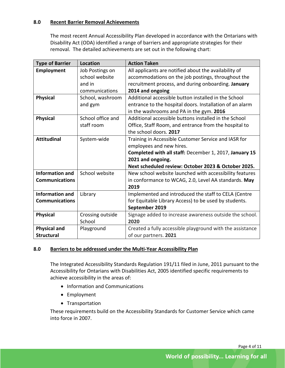#### <span id="page-6-0"></span>**8.0 Recent Barrier Removal Achievements**

The most recent Annual Accessibility Plan developed in accordance with the Ontarians with Disability Act (ODA) identified a range of barriers and appropriate strategies for their removal. The detailed achievements are set out in the following chart:

| <b>Type of Barrier</b> | <b>Location</b>   | <b>Action Taken</b>                                       |  |
|------------------------|-------------------|-----------------------------------------------------------|--|
| Employment             | Job Postings on   | All applicants are notified about the availability of     |  |
|                        | school website    | accommodations on the job postings, throughout the        |  |
|                        | and in            | recruitment process, and during onboarding. January       |  |
|                        | communications    | 2014 and ongoing                                          |  |
| <b>Physical</b>        | School, washroom  | Additional accessible button installed in the School      |  |
|                        | and gym           | entrance to the hospital doors. Installation of an alarm  |  |
|                        |                   | in the washrooms and PA in the gym. 2016                  |  |
| <b>Physical</b>        | School office and | Additional accessible buttons installed in the School     |  |
|                        | staff room        | Office, Staff Room, and entrance from the hospital to     |  |
|                        |                   | the school doors. 2017                                    |  |
| <b>Attitudinal</b>     | System-wide       | Training in Accessible Customer Service and IASR for      |  |
|                        |                   | employees and new hires.                                  |  |
|                        |                   | Completed with all staff: December 1, 2017, January 15    |  |
|                        |                   | 2021 and ongoing.                                         |  |
|                        |                   | Next scheduled review: October 2023 & October 2025.       |  |
| <b>Information and</b> | School website    | New school website launched with accessibility features   |  |
| <b>Communications</b>  |                   | in conformance to WCAG, 2.0, Level AA standards. May      |  |
|                        |                   | 2019                                                      |  |
| <b>Information and</b> | Library           | Implemented and introduced the staff to CELA (Centre      |  |
| <b>Communications</b>  |                   | for Equitable Library Access) to be used by students.     |  |
|                        |                   | September 2019                                            |  |
| <b>Physical</b>        | Crossing outside  | Signage added to increase awareness outside the school.   |  |
|                        | School            | 2020                                                      |  |
| <b>Physical and</b>    | Playground        | Created a fully accessible playground with the assistance |  |
| <b>Structural</b>      |                   | of our partners. 2021                                     |  |

#### <span id="page-6-1"></span>**8.0 Barriers to be addressed under the Multi-Year Accessibility Plan**

The Integrated Accessibility Standards Regulation 191/11 filed in June, 2011 pursuant to the Accessibility for Ontarians with Disabilities Act, 2005 identified specific requirements to achieve accessibility in the areas of:

- Information and Communications
- Employment
- Transportation

These requirements build on the Accessibility Standards for Customer Service which came into force in 2007.

Page 4 of 11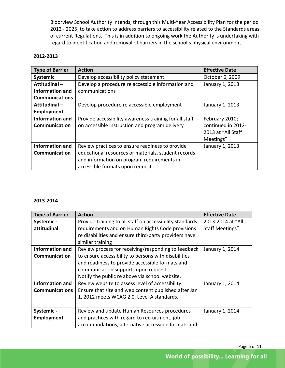Bloorview School Authority intends, through this Multi-Year Accessibility Plan for the period 2012 - 2025, to take action to address barriers to accessibility related to the Standards areas of current Regulations. This is in addition to ongoing work the Authority is undertaking with regard to identification and removal of barriers in the school's physical environment.

#### **2012-2013**

| <b>Type of Barrier</b> | <b>Action</b>                                          | <b>Effective Date</b> |
|------------------------|--------------------------------------------------------|-----------------------|
| Systemic               | Develop accessibility policy statement                 | October 6, 2009       |
| Attitudinal-           | Develop a procedure re accessible information and      | January 1, 2013       |
| <b>Information and</b> | communications                                         |                       |
| <b>Communications</b>  |                                                        |                       |
| Attitudinal-           | Develop procedure re accessible employment             | January 1, 2013       |
| Employment             |                                                        |                       |
| <b>Information and</b> | Provide accessibility awareness training for all staff | February 2010;        |
| Communication          | on accessible instruction and program delivery         | continued in 2012-    |
|                        |                                                        | 2013 at "All Staff    |
|                        |                                                        | Meetings"             |
| <b>Information and</b> | Review practices to ensure readiness to provide        | January 1, 2013       |
| Communication          | educational resources or materials, student records    |                       |
|                        | and information on program requirements in             |                       |
|                        | accessible formats upon request                        |                       |

#### **2013-2014**

| <b>Type of Barrier</b> | <b>Action</b>                                            | <b>Effective Date</b>  |
|------------------------|----------------------------------------------------------|------------------------|
| Systemic -             | Provide training to all staff on accessibility standards | 2013-2014 at "All      |
| attitudinal            | requirements and on Human Rights Code provisions         | <b>Staff Meetings"</b> |
|                        | re disabilities and ensure third-party providers have    |                        |
|                        | similar training                                         |                        |
| <b>Information and</b> | Review process for receiving/responding to feedback      | January 1, 2014        |
| Communication          | to ensure accessibility to persons with disabilities     |                        |
|                        | and readiness to provide accessible formats and          |                        |
|                        | communication supports upon request.                     |                        |
|                        | Notify the public re above via school website.           |                        |
| <b>Information and</b> | Review website to assess level of accessibility.         | January 1, 2014        |
| <b>Communications</b>  | Ensure that site and web content published after Jan     |                        |
|                        | 1, 2012 meets WCAG 2.0, Level A standards.               |                        |
|                        |                                                          |                        |
| Systemic -             | Review and update Human Resources procedures             | January 1, 2014        |
| Employment             | and practices with regard to recruitment, job            |                        |
|                        | accommodations, alternative accessible formats and       |                        |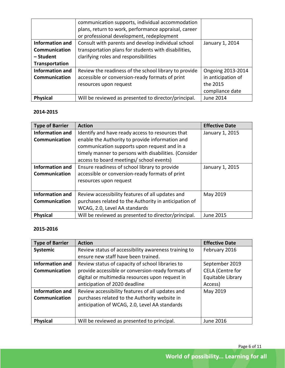|                        | communication supports, individual accommodation<br>plans, return to work, performance appraisal, career |                    |
|------------------------|----------------------------------------------------------------------------------------------------------|--------------------|
|                        | or professional development, redeployment                                                                |                    |
| <b>Information and</b> | Consult with parents and develop individual school                                                       | January 1, 2014    |
| Communication          | transportation plans for students with disabilities,                                                     |                    |
| - Student              | clarifying roles and responsibilities                                                                    |                    |
| Transportation         |                                                                                                          |                    |
| <b>Information and</b> | Review the readiness of the school library to provide                                                    | Ongoing 2013-2014  |
| <b>Communication</b>   | accessible or conversion-ready formats of print                                                          | in anticipation of |
|                        | resources upon request                                                                                   | the 2015           |
|                        |                                                                                                          | compliance date    |
| <b>Physical</b>        | Will be reviewed as presented to director/principal.                                                     | June 2014          |

| <b>Type of Barrier</b> | <b>Action</b>                                         | <b>Effective Date</b> |
|------------------------|-------------------------------------------------------|-----------------------|
| Information and        | Identify and have ready access to resources that      | January 1, 2015       |
| <b>Communication</b>   | enable the Authority to provide information and       |                       |
|                        | communication supports upon request and in a          |                       |
|                        | timely manner to persons with disabilities. (Consider |                       |
|                        | access to board meetings/ school events)              |                       |
| <b>Information and</b> | Ensure readiness of school library to provide         | January 1, 2015       |
| <b>Communication</b>   | accessible or conversion-ready formats of print       |                       |
|                        | resources upon request                                |                       |
|                        |                                                       |                       |
| <b>Information and</b> | Review accessibility features of all updates and      | May 2019              |
| <b>Communication</b>   | purchases related to the Authority in anticipation of |                       |
|                        | WCAG, 2.0, Level AA standards                         |                       |
| <b>Physical</b>        | Will be reviewed as presented to director/principal.  | <b>June 2015</b>      |

## **2015-2016**

| <b>Type of Barrier</b> | <b>Action</b>                                        | <b>Effective Date</b>   |
|------------------------|------------------------------------------------------|-------------------------|
| <b>Systemic</b>        | Review status of accessibility awareness training to | February 2016           |
|                        | ensure new staff have been trained.                  |                         |
| <b>Information and</b> | Review status of capacity of school libraries to     | September 2019          |
| <b>Communication</b>   | provide accessible or conversion-ready formats of    | <b>CELA</b> (Centre for |
|                        | digital or multimedia resources upon request in      | Equitable Library       |
|                        | anticipation of 2020 deadline                        | Access)                 |
| <b>Information and</b> | Review accessibility features of all updates and     | May 2019                |
| Communication          | purchases related to the Authority website in        |                         |
|                        | anticipation of WCAG, 2.0, Level AA standards        |                         |
|                        |                                                      |                         |
| <b>Physical</b>        | Will be reviewed as presented to principal.          | June 2016               |

Page 6 of 11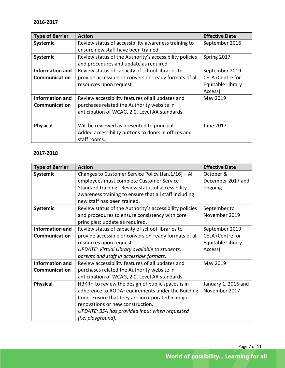| <b>Type of Barrier</b> | <b>Action</b>                                           | <b>Effective Date</b>   |
|------------------------|---------------------------------------------------------|-------------------------|
| Systemic               | Review status of accessibility awareness training to    | September 2016          |
|                        | ensure new staff have been trained                      |                         |
| Systemic               | Review status of the Authority's accessibility policies | Spring 2017             |
|                        | and procedures and update as required                   |                         |
| <b>Information and</b> | Review status of capacity of school libraries to        | September 2019          |
| <b>Communication</b>   | provide accessible or conversion-ready formats of all   | <b>CELA</b> (Centre for |
|                        | resources upon request                                  | Equitable Library       |
|                        |                                                         | Access)                 |
| <b>Information and</b> | Review accessibility features of all updates and        | May 2019                |
| <b>Communication</b>   | purchases related the Authority website in              |                         |
|                        | anticipation of WCAG, 2.0, Level AA standards           |                         |
|                        |                                                         |                         |
| <b>Physical</b>        | Will be reviewed as presented to principal.             | <b>June 2017</b>        |
|                        | Added accessibility buttons to doors in offices and     |                         |
|                        | staff rooms.                                            |                         |

| <b>Type of Barrier</b> | <b>Action</b>                                           | <b>Effective Date</b>   |
|------------------------|---------------------------------------------------------|-------------------------|
| Systemic               | Changes to Customer Service Policy (Jan.1/16) - All     | October &               |
|                        | employees must complete Customer Service                | December 2017 and       |
|                        | Standard training. Review status of accessibility       | ongoing                 |
|                        | awareness training to ensure that all staff including   |                         |
|                        | new staff has been trained.                             |                         |
| Systemic               | Review status of the Authority's accessibility policies | September to            |
|                        | and procedures to ensure consistency with core          | November 2019           |
|                        | principles; update as required.                         |                         |
| <b>Information and</b> | Review status of capacity of school libraries to        | September 2019          |
| Communication          | provide accessible or conversion-ready formats of all   | <b>CELA (Centre for</b> |
|                        | resources upon request.                                 | Equitable Library       |
|                        | UPDATE: Virtual Library available to students,          | Access)                 |
|                        | parents and staff in accessible formats.                |                         |
| <b>Information and</b> | Review accessibility features of all updates and        | May 2019                |
| Communication          | purchases related the Authority website in              |                         |
|                        | anticipation of WCAG, 2.0, Level AA standards           |                         |
| <b>Physical</b>        | HBKRH to review the design of public spaces is in       | January 1, 2016 and     |
|                        | adherence to AODA requirements under the Building       | November 2017           |
|                        | Code. Ensure that they are incorporated in major        |                         |
|                        | renovations or new construction.                        |                         |
|                        | UPDATE: BSA has provided input when requested           |                         |
|                        | (i.e. playground).                                      |                         |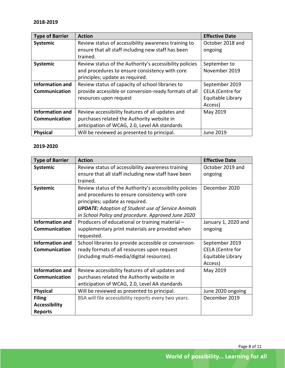| <b>Type of Barrier</b> | <b>Action</b>                                           | <b>Effective Date</b>   |
|------------------------|---------------------------------------------------------|-------------------------|
| <b>Systemic</b>        | Review status of accessibility awareness training to    | October 2018 and        |
|                        | ensure that all staff including new staff has been      | ongoing                 |
|                        | trained.                                                |                         |
| Systemic               | Review status of the Authority's accessibility policies | September to            |
|                        | and procedures to ensure consistency with core          | November 2019           |
|                        | principles; update as required.                         |                         |
| <b>Information and</b> | Review status of capacity of school libraries to        | September 2019          |
| <b>Communication</b>   | provide accessible or conversion-ready formats of all   | <b>CELA</b> (Centre for |
|                        | resources upon request                                  | Equitable Library       |
|                        |                                                         | Access)                 |
| <b>Information and</b> | Review accessibility features of all updates and        | May 2019                |
| <b>Communication</b>   | purchases related the Authority website in              |                         |
|                        | anticipation of WCAG, 2.0, Level AA standards           |                         |
| <b>Physical</b>        | Will be reviewed as presented to principal.             | <b>June 2019</b>        |

| <b>Type of Barrier</b> | <b>Action</b>                                             | <b>Effective Date</b>   |
|------------------------|-----------------------------------------------------------|-------------------------|
| <b>Systemic</b>        | Review status of accessibility awareness training         | October 2019 and        |
|                        | ensure that all staff including new staff have been       | ongoing                 |
|                        | trained.                                                  |                         |
| Systemic               | Review status of the Authority's accessibility policies   | December 2020           |
|                        | and procedures to ensure consistency with core            |                         |
|                        | principles; update as required.                           |                         |
|                        | <b>UPDATE:</b> Adoption of Student use of Service Animals |                         |
|                        | in School Policy and procedure. Approved June 2020        |                         |
| <b>Information and</b> | Producers of educational or training material -           | January 1, 2020 and     |
| Communication          | supplementary print materials are provided when           | ongoing                 |
|                        | requested.                                                |                         |
| <b>Information and</b> | School libraries to provide accessible or conversion-     | September 2019          |
| Communication          | ready formats of all resources upon request               | <b>CELA (Centre for</b> |
|                        | (including multi-media/digital resources).                | Equitable Library       |
|                        |                                                           | Access)                 |
| <b>Information and</b> | Review accessibility features of all updates and          | May 2019                |
| Communication          | purchases related the Authority website in                |                         |
|                        | anticipation of WCAG, 2.0, Level AA standards             |                         |
| <b>Physical</b>        | Will be reviewed as presented to principal.               | June 2020 ongoing       |
| <b>Filing</b>          | BSA will file accessibility reports every two years.      | December 2019           |
| <b>Accessibility</b>   |                                                           |                         |
| <b>Reports</b>         |                                                           |                         |

Page 8 of 11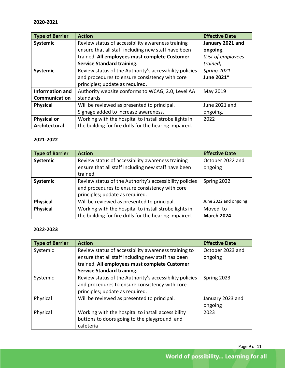| <b>Type of Barrier</b> | <b>Action</b>                                           | <b>Effective Date</b> |
|------------------------|---------------------------------------------------------|-----------------------|
| Systemic               | Review status of accessibility awareness training       | January 2021 and      |
|                        | ensure that all staff including new staff have been     | ongoing.              |
|                        | trained. All employees must complete Customer           | (List of employees    |
|                        | <b>Service Standard training.</b>                       | trained)              |
| Systemic               | Review status of the Authority's accessibility policies | Spring 2021           |
|                        | and procedures to ensure consistency with core          | June 2021*            |
|                        | principles; update as required.                         |                       |
| <b>Information and</b> | Authority website conforms to WCAG, 2.0, Level AA       | May 2019              |
| Communication          | standards                                               |                       |
| <b>Physical</b>        | Will be reviewed as presented to principal.             | June 2021 and         |
|                        | Signage added to increase awareness.                    | ongoing.              |
| <b>Physical or</b>     | Working with the hospital to install strobe lights in   | 2022                  |
| Architectural          | the building for fire drills for the hearing impaired.  |                       |

| Type of Barrier | <b>Action</b>                                           | <b>Effective Date</b> |
|-----------------|---------------------------------------------------------|-----------------------|
| Systemic        | Review status of accessibility awareness training       | October 2022 and      |
|                 | ensure that all staff including new staff have been     | ongoing               |
|                 | trained.                                                |                       |
| <b>Systemic</b> | Review status of the Authority's accessibility policies | Spring 2022           |
|                 | and procedures to ensure consistency with core          |                       |
|                 | principles; update as required.                         |                       |
| <b>Physical</b> | Will be reviewed as presented to principal.             | June 2022 and ongoing |
| <b>Physical</b> | Working with the hospital to install strobe lights in   | Moved to              |
|                 | the building for fire drills for the hearing impaired.  | <b>March 2024</b>     |

#### **2022-2023**

| <b>Type of Barrier</b> | <b>Action</b>                                           | <b>Effective Date</b> |
|------------------------|---------------------------------------------------------|-----------------------|
| Systemic               | Review status of accessibility awareness training to    | October 2023 and      |
|                        | ensure that all staff including new staff has been      | ongoing               |
|                        | trained. All employees must complete Customer           |                       |
|                        | <b>Service Standard training.</b>                       |                       |
| Systemic               | Review status of the Authority's accessibility policies | Spring 2023           |
|                        | and procedures to ensure consistency with core          |                       |
|                        | principles; update as required.                         |                       |
| Physical               | Will be reviewed as presented to principal.             | January 2023 and      |
|                        |                                                         | ongoing               |
| Physical               | Working with the hospital to install accessibility      | 2023                  |
|                        | buttons to doors going to the playground and            |                       |
|                        | cafeteria                                               |                       |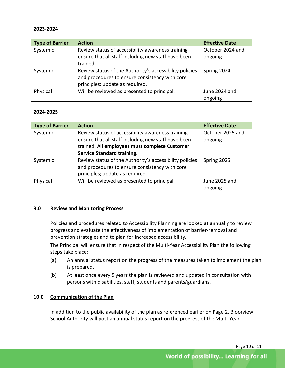| Type of Barrier | <b>Action</b>                                           | <b>Effective Date</b> |
|-----------------|---------------------------------------------------------|-----------------------|
| Systemic        | Review status of accessibility awareness training       | October 2024 and      |
|                 | ensure that all staff including new staff have been     | ongoing               |
|                 | trained.                                                |                       |
| Systemic        | Review status of the Authority's accessibility policies | Spring 2024           |
|                 | and procedures to ensure consistency with core          |                       |
|                 | principles; update as required.                         |                       |
| Physical        | Will be reviewed as presented to principal.             | June 2024 and         |
|                 |                                                         | ongoing               |

#### **2024-2025**

| Type of Barrier | <b>Action</b>                                           | <b>Effective Date</b> |
|-----------------|---------------------------------------------------------|-----------------------|
| Systemic        | Review status of accessibility awareness training       | October 2025 and      |
|                 | ensure that all staff including new staff have been     | ongoing               |
|                 | trained. All employees must complete Customer           |                       |
|                 | <b>Service Standard training.</b>                       |                       |
| Systemic        | Review status of the Authority's accessibility policies | Spring 2025           |
|                 | and procedures to ensure consistency with core          |                       |
|                 | principles; update as required.                         |                       |
| Physical        | Will be reviewed as presented to principal.             | June 2025 and         |
|                 |                                                         | ongoing               |

#### <span id="page-12-0"></span>**9.0 Review and Monitoring Process**

Policies and procedures related to Accessibility Planning are looked at annually to review progress and evaluate the effectiveness of implementation of barrier-removal and prevention strategies and to plan for increased accessibility.

The Principal will ensure that in respect of the Multi-Year Accessibility Plan the following steps take place:

- (a) An annual status report on the progress of the measures taken to implement the plan is prepared.
- (b) At least once every 5 years the plan is reviewed and updated in consultation with persons with disabilities, staff, students and parents/guardians.

#### <span id="page-12-1"></span>**10.0 Communication of the Plan**

In addition to the public availability of the plan as referenced earlier on Page 2, Bloorview School Authority will post an annual status report on the progress of the Multi-Year

Page 10 of 11